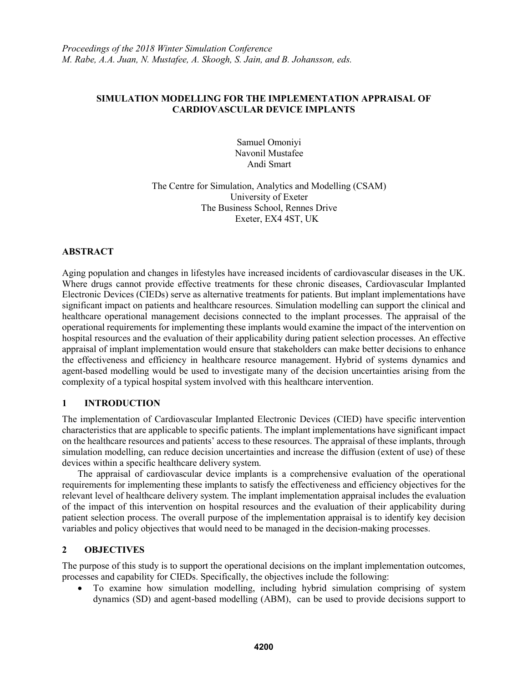### **SIMULATION MODELLING FOR THE IMPLEMENTATION APPRAISAL OF CARDIOVASCULAR DEVICE IMPLANTS**

Samuel Omoniyi Navonil Mustafee Andi Smart

The Centre for Simulation, Analytics and Modelling (CSAM) University of Exeter The Business School, Rennes Drive Exeter, EX4 4ST, UK

# **ABSTRACT**

Aging population and changes in lifestyles have increased incidents of cardiovascular diseases in the UK. Where drugs cannot provide effective treatments for these chronic diseases, Cardiovascular Implanted Electronic Devices (CIEDs) serve as alternative treatments for patients. But implant implementations have significant impact on patients and healthcare resources. Simulation modelling can support the clinical and healthcare operational management decisions connected to the implant processes. The appraisal of the operational requirements for implementing these implants would examine the impact of the intervention on hospital resources and the evaluation of their applicability during patient selection processes. An effective appraisal of implant implementation would ensure that stakeholders can make better decisions to enhance the effectiveness and efficiency in healthcare resource management. Hybrid of systems dynamics and agent-based modelling would be used to investigate many of the decision uncertainties arising from the complexity of a typical hospital system involved with this healthcare intervention.

### **1 INTRODUCTION**

The implementation of Cardiovascular Implanted Electronic Devices (CIED) have specific intervention characteristics that are applicable to specific patients. The implant implementations have significant impact on the healthcare resources and patients' access to these resources. The appraisal of these implants, through simulation modelling, can reduce decision uncertainties and increase the diffusion (extent of use) of these devices within a specific healthcare delivery system.

The appraisal of cardiovascular device implants is a comprehensive evaluation of the operational requirements for implementing these implants to satisfy the effectiveness and efficiency objectives for the relevant level of healthcare delivery system. The implant implementation appraisal includes the evaluation of the impact of this intervention on hospital resources and the evaluation of their applicability during patient selection process. The overall purpose of the implementation appraisal is to identify key decision variables and policy objectives that would need to be managed in the decision-making processes.

# **2 OBJECTIVES**

The purpose of this study is to support the operational decisions on the implant implementation outcomes, processes and capability for CIEDs. Specifically, the objectives include the following:

• To examine how simulation modelling, including hybrid simulation comprising of system dynamics (SD) and agent-based modelling (ABM), can be used to provide decisions support to